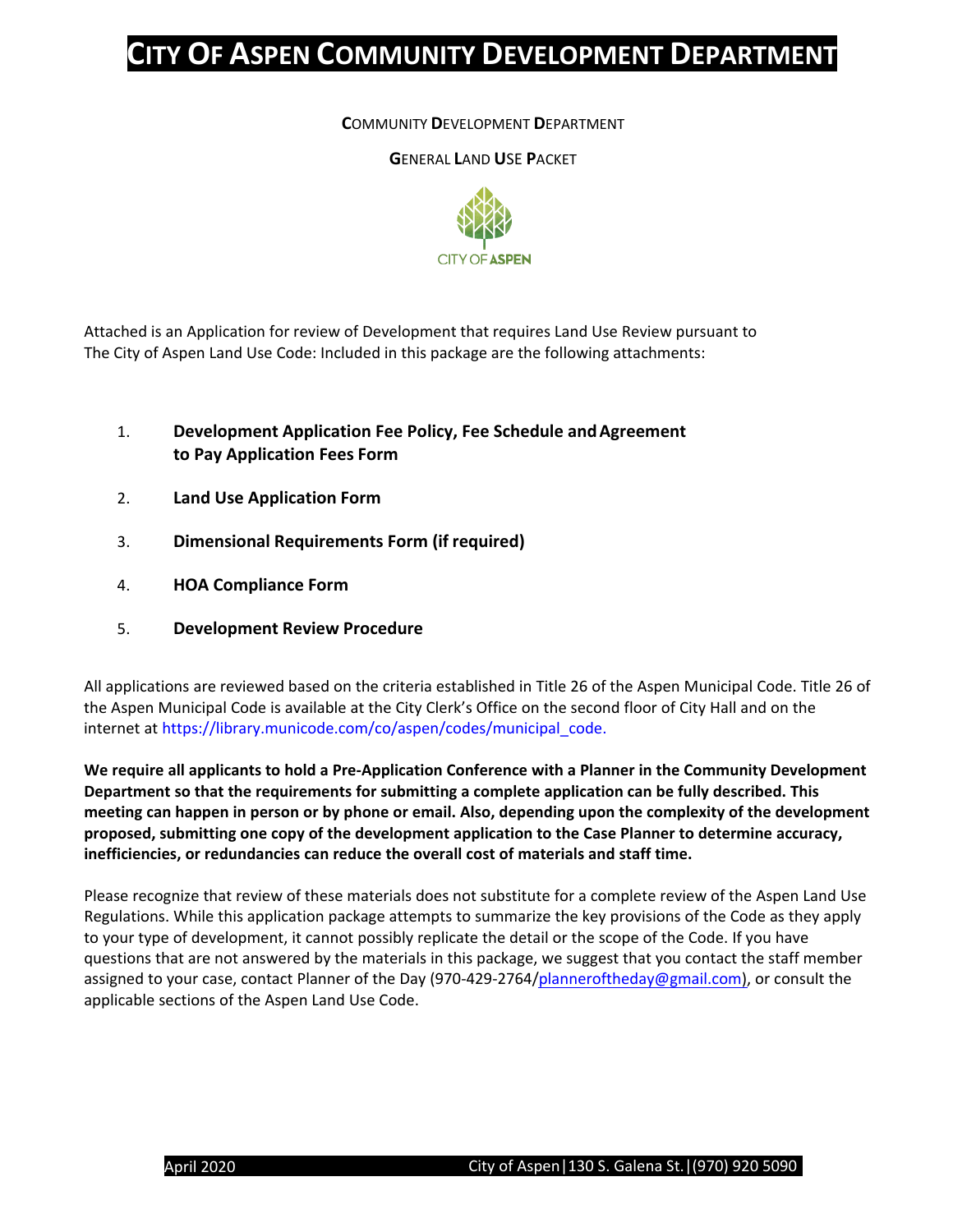### **C**OMMUNITY **D**EVELOPMENT **D**EPARTMENT

**G**ENERAL **L**AND **U**SE **P**ACKET



Attached is an Application for review of Development that requires Land Use Review pursuant to The City of Aspen Land Use Code: Included in this package are the following attachments:

- 1. **Development Application Fee Policy, Fee Schedule andAgreement to Pay Application Fees Form**
- 2. **Land Use Application Form**
- 3. **Dimensional Requirements Form (if required)**
- 4. **HOA Compliance Form**
- 5. **Development Review Procedure**

All applications are reviewed based on the criteria established in Title 26 of the Aspen Municipal Code. Title 26 of the Aspen Municipal Code is available at the City Clerk's Office on the second floor of City Hall and on the internet at [https://library.municode.com/co/aspen/codes/municipal\\_code.](https://library.municode.com/co/aspen/codes/municipal_code.)

**We require all applicants to hold a Pre-Application Conference with a Planner in the Community Development Department so that the requirements for submitting a complete application can be fully described. This meeting can happen in person or by phone or email. Also, depending upon the complexity of the development proposed, submitting one copy of the development application to the Case Planner to determine accuracy, inefficiencies, or redundancies can reduce the overall cost of materials and staff time.**

Please recognize that review of these materials does not substitute for a complete review of the Aspen Land Use Regulations. While this application package attempts to summarize the key provisions of the Code as they apply to your type of development, it cannot possibly replicate the detail or the scope of the Code. If you have questions that are not answered by the materials in this package, we suggest that you contact the staff member assigned to your case, contact Planner of the Day (970-429-2764[/planneroftheday@gmail.com\)](mailto:planneroftheday@gmail.com), or consult the applicable sections of the Aspen Land Use Code.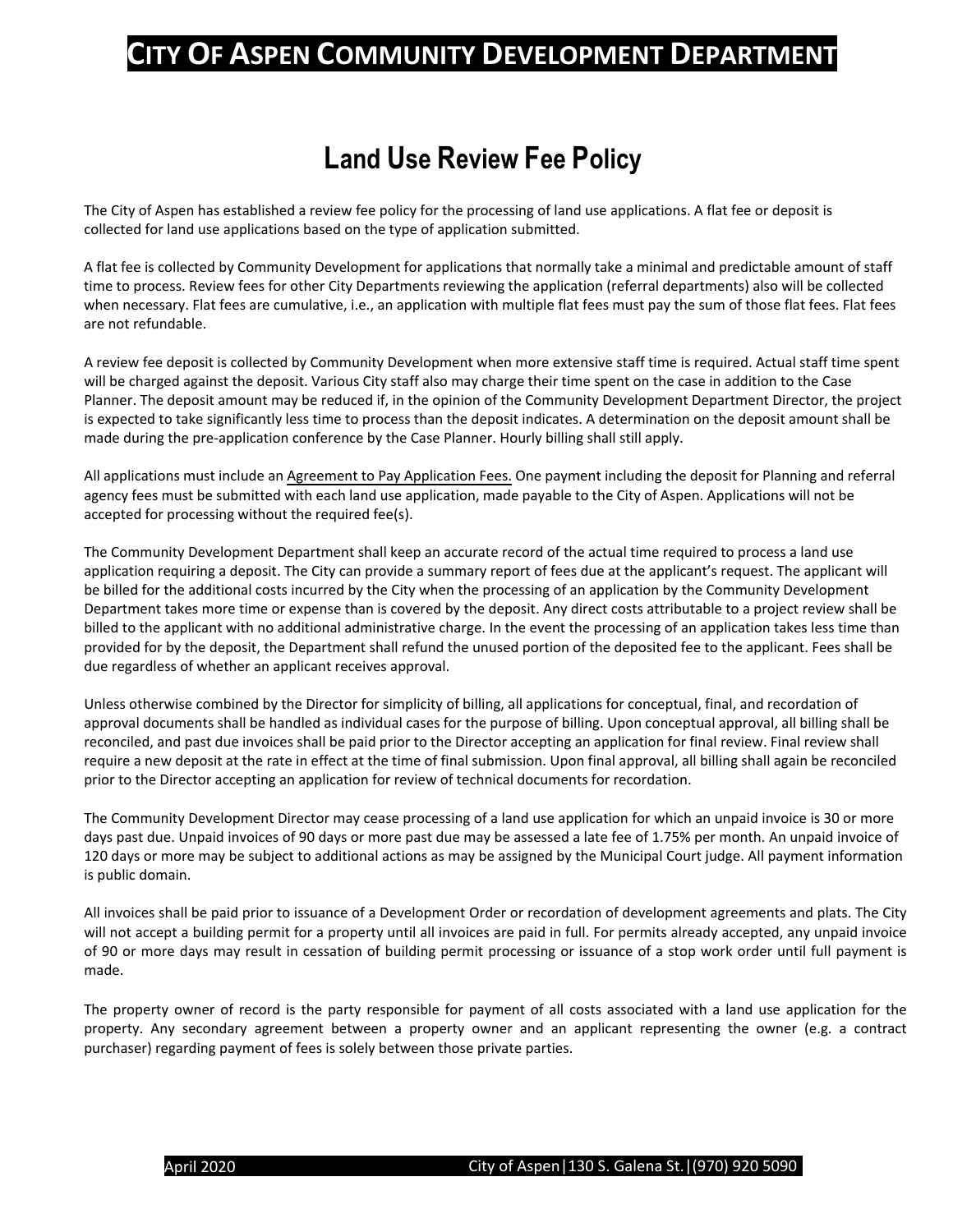## **Land Use Review Fee Policy**

The City of Aspen has established a review fee policy for the processing of land use applications. A flat fee or deposit is collected for land use applications based on the type of application submitted.

A flat fee is collected by Community Development for applications that normally take a minimal and predictable amount of staff time to process. Review fees for other City Departments reviewing the application (referral departments) also will be collected when necessary. Flat fees are cumulative, i.e., an application with multiple flat fees must pay the sum of those flat fees. Flat fees are not refundable.

A review fee deposit is collected by Community Development when more extensive staff time is required. Actual staff time spent will be charged against the deposit. Various City staff also may charge their time spent on the case in addition to the Case Planner. The deposit amount may be reduced if, in the opinion of the Community Development Department Director, the project is expected to take significantly less time to process than the deposit indicates. A determination on the deposit amount shall be made during the pre-application conference by the Case Planner. Hourly billing shall still apply.

All applications must include an Agreement to Pay Application Fees. One payment including the deposit for Planning and referral agency fees must be submitted with each land use application, made payable to the City of Aspen. Applications will not be accepted for processing without the required fee(s).

The Community Development Department shall keep an accurate record of the actual time required to process a land use application requiring a deposit. The City can provide a summary report of fees due at the applicant's request. The applicant will be billed for the additional costs incurred by the City when the processing of an application by the Community Development Department takes more time or expense than is covered by the deposit. Any direct costs attributable to a project review shall be billed to the applicant with no additional administrative charge. In the event the processing of an application takes less time than provided for by the deposit, the Department shall refund the unused portion of the deposited fee to the applicant. Fees shall be due regardless of whether an applicant receives approval.

Unless otherwise combined by the Director for simplicity of billing, all applications for conceptual, final, and recordation of approval documents shall be handled as individual cases for the purpose of billing. Upon conceptual approval, all billing shall be reconciled, and past due invoices shall be paid prior to the Director accepting an application for final review. Final review shall require a new deposit at the rate in effect at the time of final submission. Upon final approval, all billing shall again be reconciled prior to the Director accepting an application for review of technical documents for recordation.

The Community Development Director may cease processing of a land use application for which an unpaid invoice is 30 or more days past due. Unpaid invoices of 90 days or more past due may be assessed a late fee of 1.75% per month. An unpaid invoice of 120 days or more may be subject to additional actions as may be assigned by the Municipal Court judge. All payment information is public domain.

All invoices shall be paid prior to issuance of a Development Order or recordation of development agreements and plats. The City will not accept a building permit for a property until all invoices are paid in full. For permits already accepted, any unpaid invoice of 90 or more days may result in cessation of building permit processing or issuance of a stop work order until full payment is made.

The property owner of record is the party responsible for payment of all costs associated with a land use application for the property. Any secondary agreement between a property owner and an applicant representing the owner (e.g. a contract purchaser) regarding payment of fees is solely between those private parties.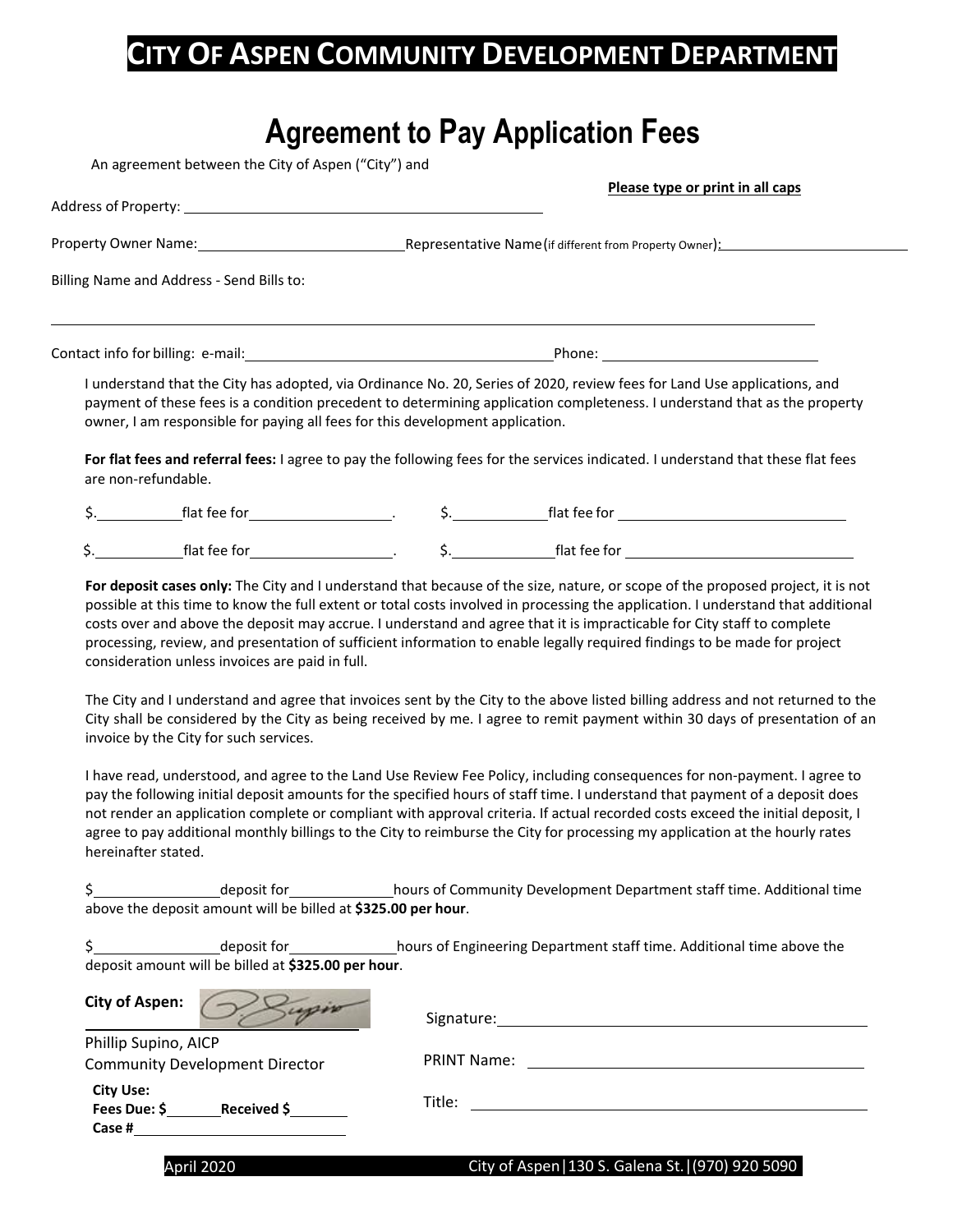# **Agreement to Pay Application Fees**

An agreement between the City of Aspen ("City") and

|  |                                                                                                                  | Please type or print in all caps                                                                                                                                                                                                                                                                                                       |
|--|------------------------------------------------------------------------------------------------------------------|----------------------------------------------------------------------------------------------------------------------------------------------------------------------------------------------------------------------------------------------------------------------------------------------------------------------------------------|
|  | Property Owner Name: 1990 Contract the Contract of American Contract of American Contract of American Contract O |                                                                                                                                                                                                                                                                                                                                        |
|  | Billing Name and Address - Send Bills to:                                                                        |                                                                                                                                                                                                                                                                                                                                        |
|  |                                                                                                                  |                                                                                                                                                                                                                                                                                                                                        |
|  |                                                                                                                  |                                                                                                                                                                                                                                                                                                                                        |
|  |                                                                                                                  | I understand that the City has adopted, via Ordinance No. 20, Series of 2020, review fees for Land Use applications, and<br>payment of these fees is a condition precedent to determining application completeness. I understand that as the property<br>owner, I am responsible for paying all fees for this development application. |
|  | are non-refundable.                                                                                              | For flat fees and referral fees: I agree to pay the following fees for the services indicated. I understand that these flat fees                                                                                                                                                                                                       |
|  |                                                                                                                  |                                                                                                                                                                                                                                                                                                                                        |

costs over and above the deposit may accrue. I understand and agree that it is impracticable for City staff to complete processing, review, and presentation of sufficient information to enable legally required findings to be made for project consideration unless invoices are paid in full.

The City and I understand and agree that invoices sent by the City to the above listed billing address and not returned to the City shall be considered by the City as being received by me. I agree to remit payment within 30 days of presentation of an invoice by the City for such services.

I have read, understood, and agree to the Land Use Review Fee Policy, including consequences for non-payment. I agree to pay the following initial deposit amounts for the specified hours of staff time. I understand that payment of a deposit does not render an application complete or compliant with approval criteria. If actual recorded costs exceed the initial deposit, I agree to pay additional monthly billings to the City to reimburse the City for processing my application at the hourly rates hereinafter stated.

\$ **\$ deposit for example 20 deposit for hours of Community Development Department staff time. Additional time** above the deposit amount will be billed at **\$325.00 per hour**.

| deposit for                                         | hours of Engineering Department staff time. Additional time above the |
|-----------------------------------------------------|-----------------------------------------------------------------------|
| deposit amount will be billed at \$325.00 per hour. |                                                                       |

| <b>City of Aspen:</b>                                         | Signature:         |
|---------------------------------------------------------------|--------------------|
| Phillip Supino, AICP<br><b>Community Development Director</b> | <b>PRINT Name:</b> |
| <b>City Use:</b><br>Fees Due: \$<br>Received \$<br>Case #     | Title:             |
|                                                               | -----------<br>--  |

#### April 2020 City of Aspen|130 S. Galena St.|(970) 920 5090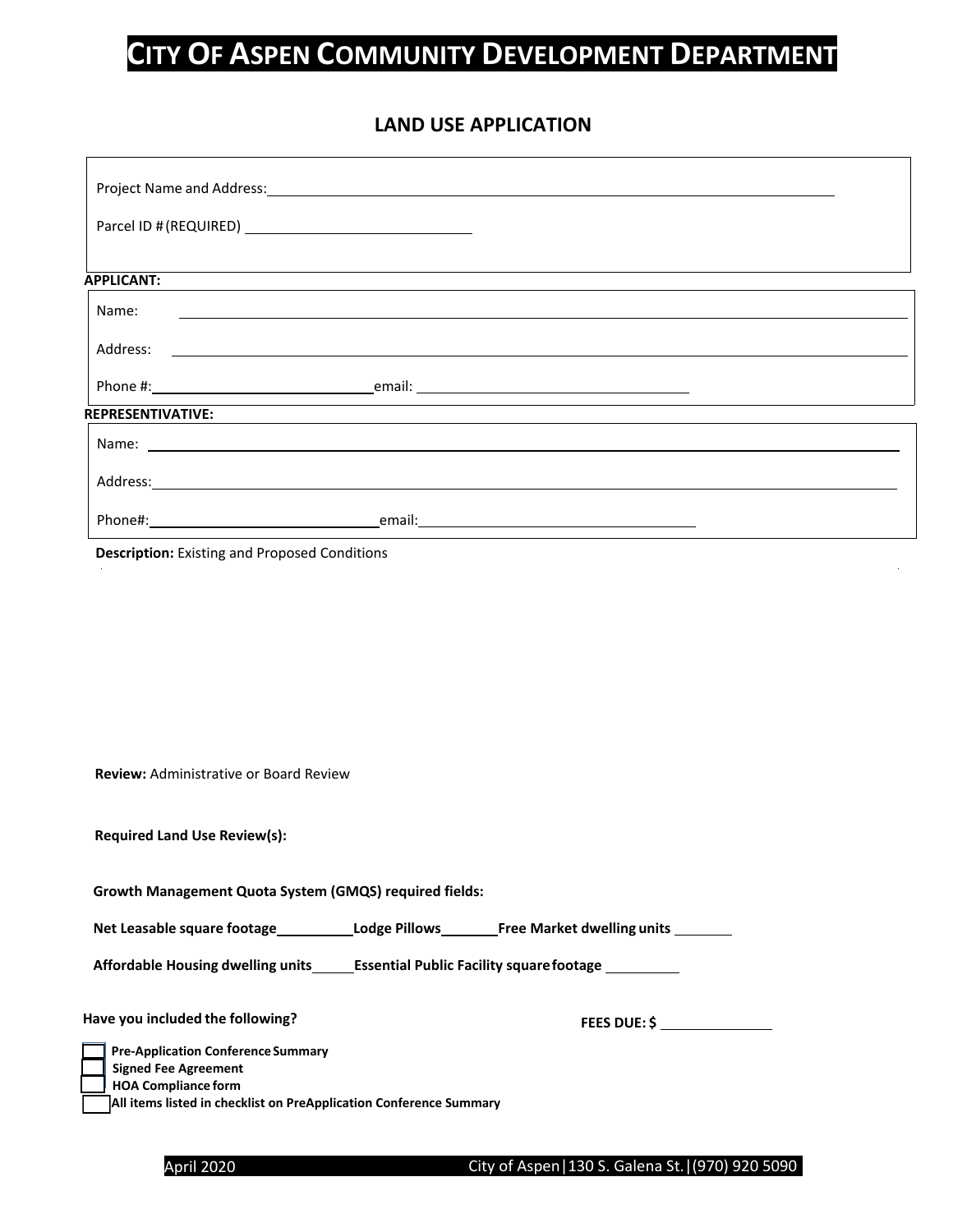### **LAND USE APPLICATION**

| <b>APPLICANT:</b>        |                                               |  |
|--------------------------|-----------------------------------------------|--|
| Name:                    |                                               |  |
| Address:                 | <u> 1980 - Andrea Andrew Maria (h. 1980).</u> |  |
|                          |                                               |  |
| <b>REPRESENTIVATIVE:</b> |                                               |  |
|                          |                                               |  |
|                          | Address: Address:                             |  |
|                          |                                               |  |

**Description:** Existing and Proposed Conditions

| <b>Review: Administrative or Board Review</b>                                       |                                                                                                     |
|-------------------------------------------------------------------------------------|-----------------------------------------------------------------------------------------------------|
| <b>Required Land Use Review(s):</b>                                                 |                                                                                                     |
| Growth Management Quota System (GMQS) required fields:                              |                                                                                                     |
|                                                                                     | Net Leasable square footage______________Lodge Pillows__________Free Market dwelling units ________ |
| Affordable Housing dwelling units Essential Public Facility square footage Learness |                                                                                                     |
| Have you included the following?                                                    | <b>FEES DUE: \$</b>                                                                                 |
| <b>Pre-Application Conference Summary</b>                                           |                                                                                                     |
| <b>Signed Fee Agreement</b>                                                         |                                                                                                     |
| <b>HOA Compliance form</b>                                                          |                                                                                                     |
| All items listed in checklist on PreApplication Conference Summary                  |                                                                                                     |

April 2020 **City of Aspen | 130 S. Galena St. | (970) 920 5090**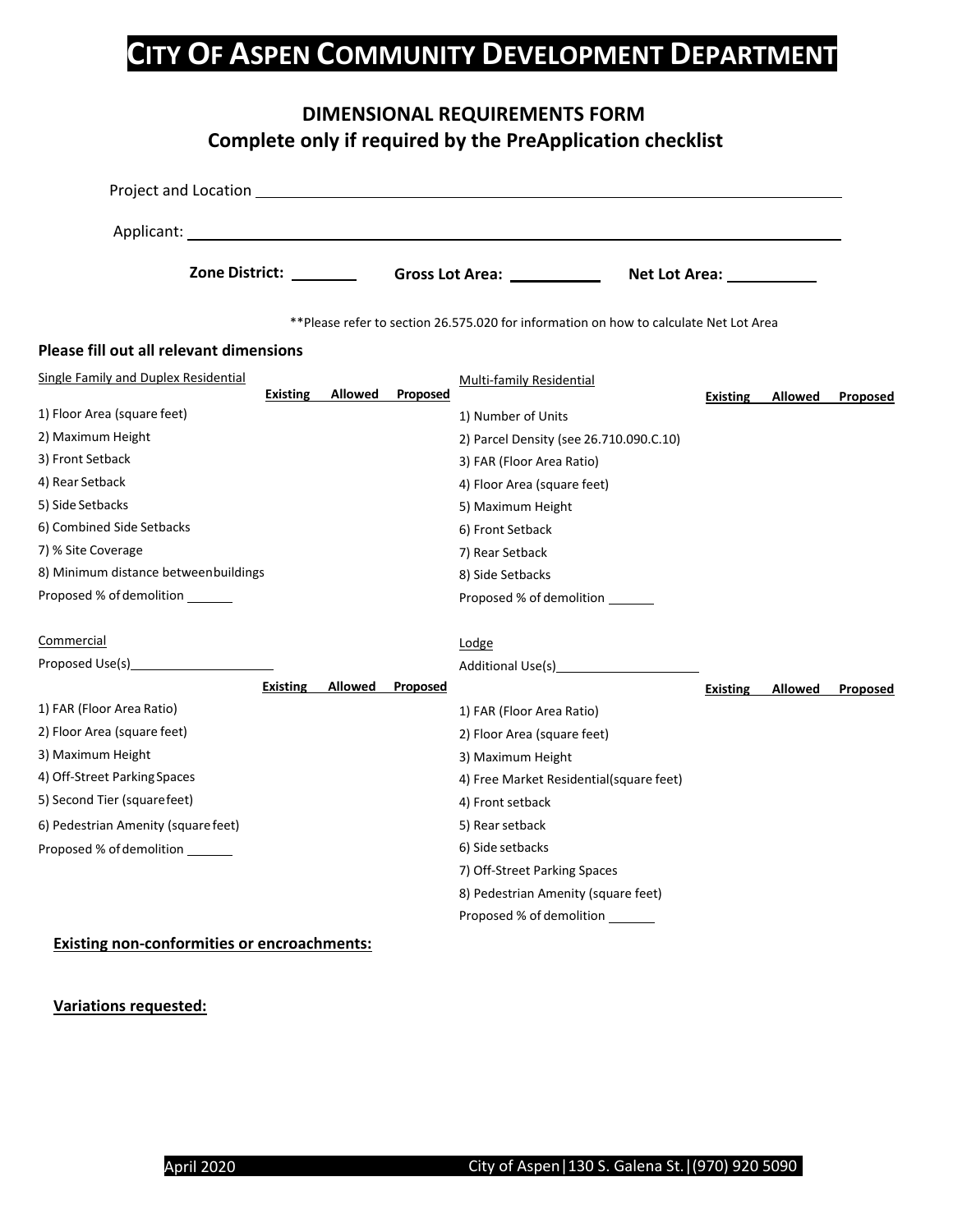|                                                         | <b>DIMENSIONAL REQUIREMENTS FORM</b><br>Complete only if required by the PreApplication checklist |                                         |                     |
|---------------------------------------------------------|---------------------------------------------------------------------------------------------------|-----------------------------------------|---------------------|
|                                                         |                                                                                                   |                                         |                     |
|                                                         |                                                                                                   |                                         |                     |
|                                                         | Zone District: Gross Lot Area: 2010 Connect Connect Area:                                         |                                         |                     |
|                                                         | ** Please refer to section 26.575.020 for information on how to calculate Net Lot Area            |                                         |                     |
| Please fill out all relevant dimensions                 |                                                                                                   |                                         |                     |
| Single Family and Duplex Residential<br><b>Existing</b> | Multi-family Residential<br>Allowed<br>Proposed                                                   | <b>Existing</b>                         | Allowed<br>Proposed |
| 1) Floor Area (square feet)                             | 1) Number of Units                                                                                |                                         |                     |
| 2) Maximum Height                                       |                                                                                                   | 2) Parcel Density (see 26.710.090.C.10) |                     |
| 3) Front Setback                                        | 3) FAR (Floor Area Ratio)                                                                         |                                         |                     |
| 4) Rear Setback                                         | 4) Floor Area (square feet)                                                                       |                                         |                     |
| 5) Side Setbacks                                        | 5) Maximum Height                                                                                 |                                         |                     |
| 6) Combined Side Setbacks                               | 6) Front Setback                                                                                  |                                         |                     |
| 7) % Site Coverage                                      | 7) Rear Setback                                                                                   |                                         |                     |
| 8) Minimum distance betweenbuildings                    | 8) Side Setbacks                                                                                  |                                         |                     |
| Proposed % of demolition _______                        | Proposed % of demolition _______                                                                  |                                         |                     |
| Commercial                                              | Lodge                                                                                             |                                         |                     |
|                                                         |                                                                                                   |                                         |                     |
| <b>Existing</b>                                         | Allowed<br><b>Proposed</b>                                                                        | <b>Existing</b>                         | Allowed<br>Proposed |
| 1) FAR (Floor Area Ratio)                               | 1) FAR (Floor Area Ratio)                                                                         |                                         |                     |
| 2) Floor Area (square feet)                             | 2) Floor Area (square feet)                                                                       |                                         |                     |
| 3) Maximum Height                                       | 3) Maximum Height                                                                                 |                                         |                     |
| 4) Off-Street Parking Spaces                            |                                                                                                   | 4) Free Market Residential(square feet) |                     |
| 5) Second Tier (squarefeet)                             | 4) Front setback                                                                                  |                                         |                     |
| 6) Pedestrian Amenity (square feet)                     | 5) Rear setback                                                                                   |                                         |                     |
| Proposed % of demolition                                | 6) Side setbacks                                                                                  |                                         |                     |
|                                                         | 7) Off-Street Parking Spaces                                                                      |                                         |                     |
|                                                         | 8) Pedestrian Amenity (square feet)                                                               |                                         |                     |
|                                                         | Proposed % of demolition                                                                          |                                         |                     |

### **Existing non-conformities or encroachments:**

#### **Variations requested:**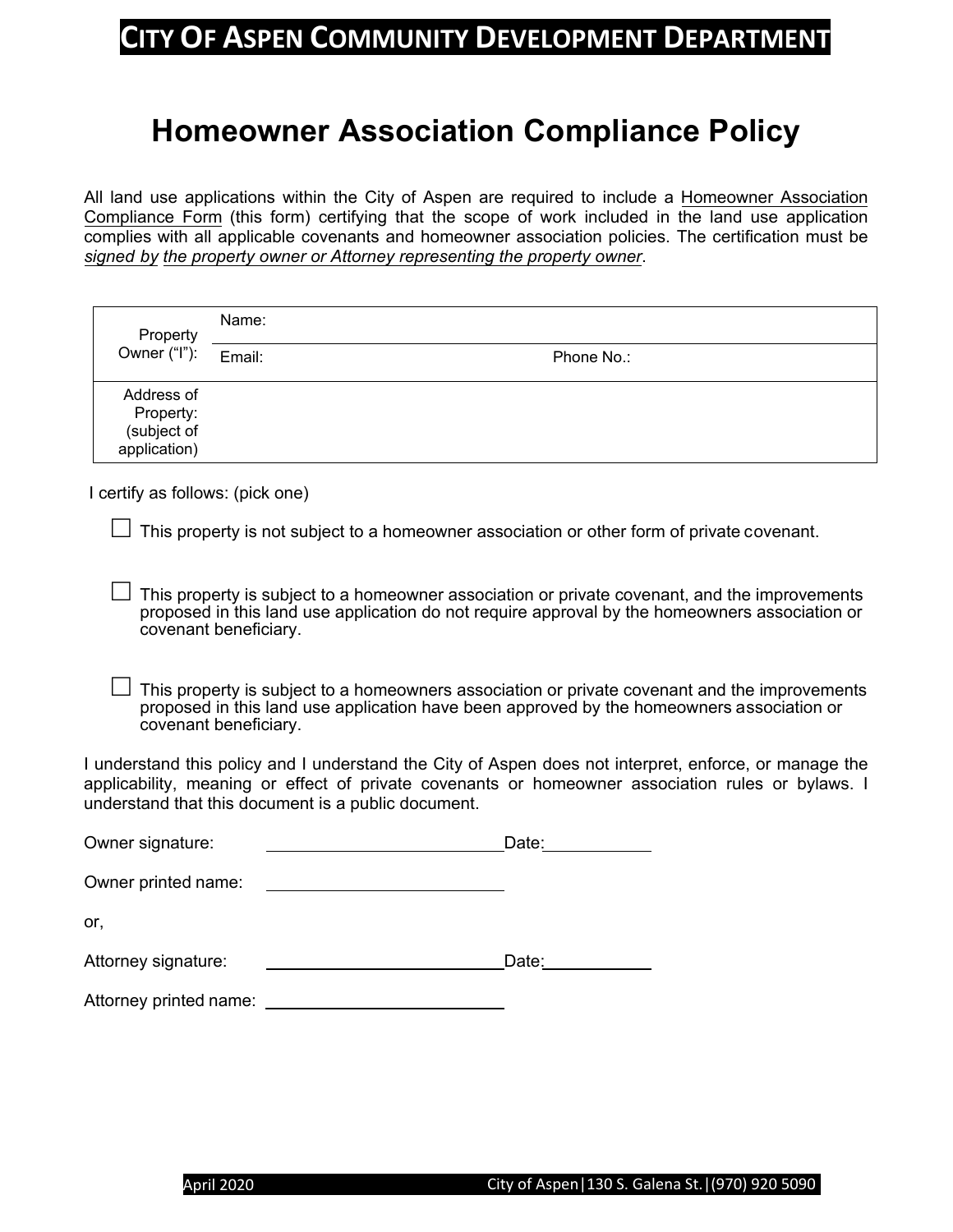# **Homeowner Association Compliance Policy**

All land use applications within the City of Aspen are required to include a Homeowner Association Compliance Form (this form) certifying that the scope of work included in the land use application complies with all applicable covenants and homeowner association policies. The certification must be *signed by the property owner or Attorney representing the property owner*.

| Property                                               | Name:  |            |  |
|--------------------------------------------------------|--------|------------|--|
| Owner ("I"):                                           | Email: | Phone No.: |  |
| Address of<br>Property:<br>(subject of<br>application) |        |            |  |

I certify as follows: (pick one)

 $\Box$  This property is not subject to a homeowner association or other form of private covenant.

 $\perp$  This property is subject to a homeowner association or private covenant, and the improvements proposed in this land use application do not require approval by the homeowners association or covenant beneficiary.

This property is subject to a homeowners association or private covenant and the improvements proposed in this land use application have been approved by the homeowners association or covenant beneficiary.

I understand this policy and I understand the City of Aspen does not interpret, enforce, or manage the applicability, meaning or effect of private covenants or homeowner association rules or bylaws. I understand that this document is a public document.

| Owner signature:       | Date: |
|------------------------|-------|
| Owner printed name:    |       |
| or,                    |       |
| Attorney signature:    | Date: |
| Attorney printed name: |       |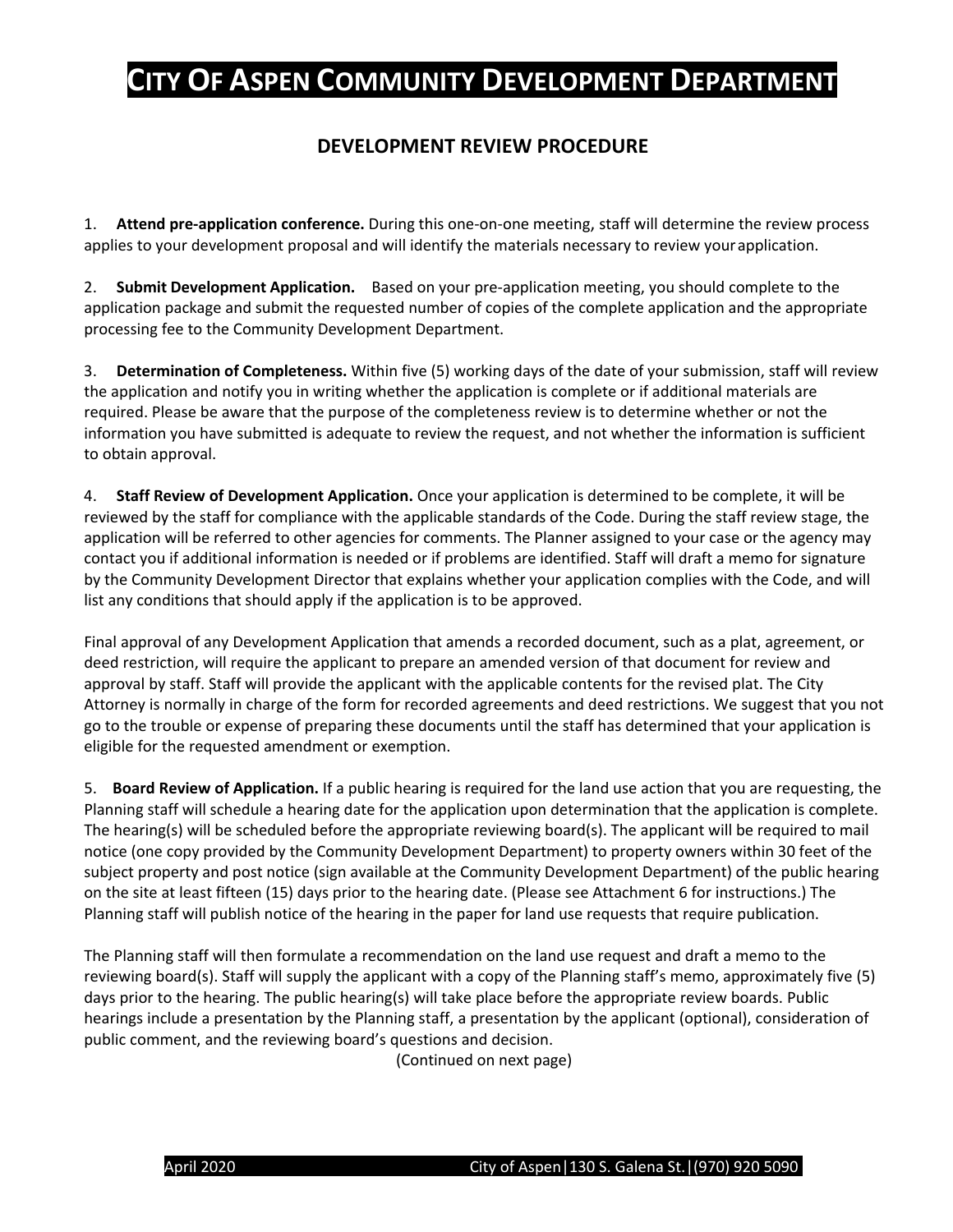### **DEVELOPMENT REVIEW PROCEDURE**

1. **Attend pre-application conference.** During this one-on-one meeting, staff will determine the review process applies to your development proposal and will identify the materials necessary to review your application.

2. **Submit Development Application.** Based on your pre-application meeting, you should complete to the application package and submit the requested number of copies of the complete application and the appropriate processing fee to the Community Development Department.

3. **Determination of Completeness.** Within five (5) working days of the date of your submission, staff will review the application and notify you in writing whether the application is complete or if additional materials are required. Please be aware that the purpose of the completeness review is to determine whether or not the information you have submitted is adequate to review the request, and not whether the information is sufficient to obtain approval.

4. **Staff Review of Development Application.** Once your application is determined to be complete, it will be reviewed by the staff for compliance with the applicable standards of the Code. During the staff review stage, the application will be referred to other agencies for comments. The Planner assigned to your case or the agency may contact you if additional information is needed or if problems are identified. Staff will draft a memo for signature by the Community Development Director that explains whether your application complies with the Code, and will list any conditions that should apply if the application is to be approved.

Final approval of any Development Application that amends a recorded document, such as a plat, agreement, or deed restriction, will require the applicant to prepare an amended version of that document for review and approval by staff. Staff will provide the applicant with the applicable contents for the revised plat. The City Attorney is normally in charge of the form for recorded agreements and deed restrictions. We suggest that you not go to the trouble or expense of preparing these documents until the staff has determined that your application is eligible for the requested amendment or exemption.

5. **Board Review of Application.** If a public hearing is required for the land use action that you are requesting, the Planning staff will schedule a hearing date for the application upon determination that the application is complete. The hearing(s) will be scheduled before the appropriate reviewing board(s). The applicant will be required to mail notice (one copy provided by the Community Development Department) to property owners within 30 feet of the subject property and post notice (sign available at the Community Development Department) of the public hearing on the site at least fifteen (15) days prior to the hearing date. (Please see Attachment 6 for instructions.) The Planning staff will publish notice of the hearing in the paper for land use requests that require publication.

The Planning staff will then formulate a recommendation on the land use request and draft a memo to the reviewing board(s). Staff will supply the applicant with a copy of the Planning staff's memo, approximately five (5) days prior to the hearing. The public hearing(s) will take place before the appropriate review boards. Public hearings include a presentation by the Planning staff, a presentation by the applicant (optional), consideration of public comment, and the reviewing board's questions and decision.

(Continued on next page)